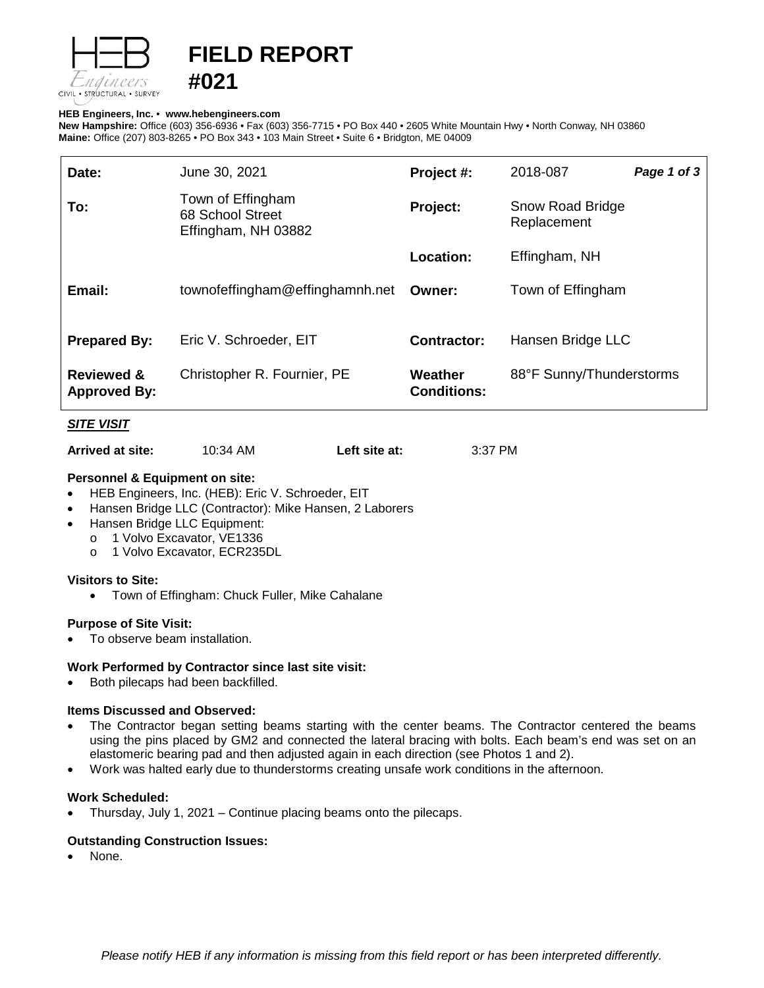

# **FIELD REPORT**

#### **HEB Engineers, Inc.** • **[www.hebengineer](http://www.hebengineers.com/)s.com**

**#021**

**New Hampshire:** Office (603) 356-6936 • Fax (603) 356-7715 • PO Box 440 • 2605 White Mountain Hwy • North Conway, NH 03860 **Maine:** Office (207) 803-8265 • PO Box 343 • 103 Main Street • Suite 6 • Bridgton, ME 04009

| Date:                                        | June 30, 2021                                                | Project #:                    | 2018-087                               | Page 1 of 3 |
|----------------------------------------------|--------------------------------------------------------------|-------------------------------|----------------------------------------|-------------|
| To:                                          | Town of Effingham<br>68 School Street<br>Effingham, NH 03882 | Project:                      | <b>Snow Road Bridge</b><br>Replacement |             |
|                                              |                                                              | Location:                     | Effingham, NH                          |             |
| Email:                                       | townofeffingham@effinghamnh.net                              | Owner:                        | Town of Effingham                      |             |
| <b>Prepared By:</b>                          | Eric V. Schroeder, EIT                                       | Contractor:                   | Hansen Bridge LLC                      |             |
| <b>Reviewed &amp;</b><br><b>Approved By:</b> | Christopher R. Fournier, PE                                  | Weather<br><b>Conditions:</b> | 88°F Sunny/Thunderstorms               |             |

## *SITE VISIT*

**Arrived at site:** 10:34 AM **Left site at:** 3:37 PM

## **Personnel & Equipment on site:**

- HEB Engineers, Inc. (HEB): Eric V. Schroeder, EIT
- Hansen Bridge LLC (Contractor): Mike Hansen, 2 Laborers
- Hansen Bridge LLC Equipment:
	- o 1 Volvo Excavator, VE1336
	- o 1 Volvo Excavator, ECR235DL

#### **Visitors to Site:**

• Town of Effingham: Chuck Fuller, Mike Cahalane

#### **Purpose of Site Visit:**

• To observe beam installation.

#### **Work Performed by Contractor since last site visit:**

Both pilecaps had been backfilled.

#### **Items Discussed and Observed:**

- The Contractor began setting beams starting with the center beams. The Contractor centered the beams using the pins placed by GM2 and connected the lateral bracing with bolts. Each beam's end was set on an elastomeric bearing pad and then adjusted again in each direction (see Photos 1 and 2).
- Work was halted early due to thunderstorms creating unsafe work conditions in the afternoon.

#### **Work Scheduled:**

• Thursday, July 1, 2021 – Continue placing beams onto the pilecaps.

#### **Outstanding Construction Issues:**

None.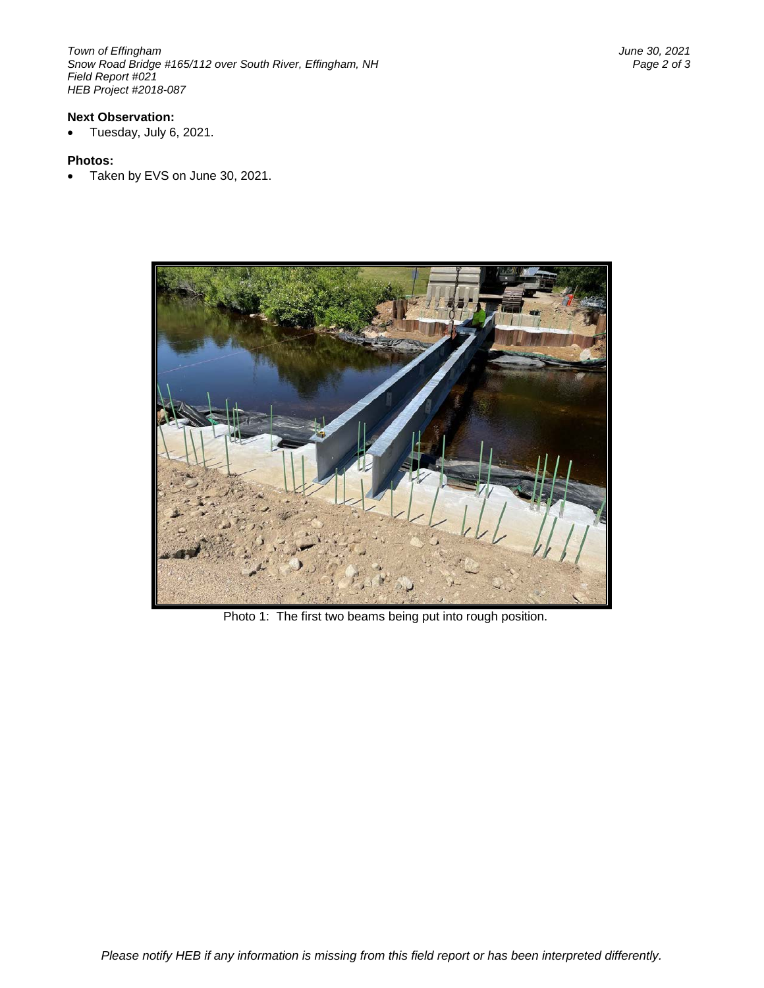*Town of Effingham June 30, 2021 Snow Road Bridge #165/112 over South River, Effingham, NH Field Report #021 HEB Project #2018-087*

# **Next Observation:**

• Tuesday, July 6, 2021.

#### **Photos:**

• Taken by EVS on June 30, 2021.



Photo 1: The first two beams being put into rough position.